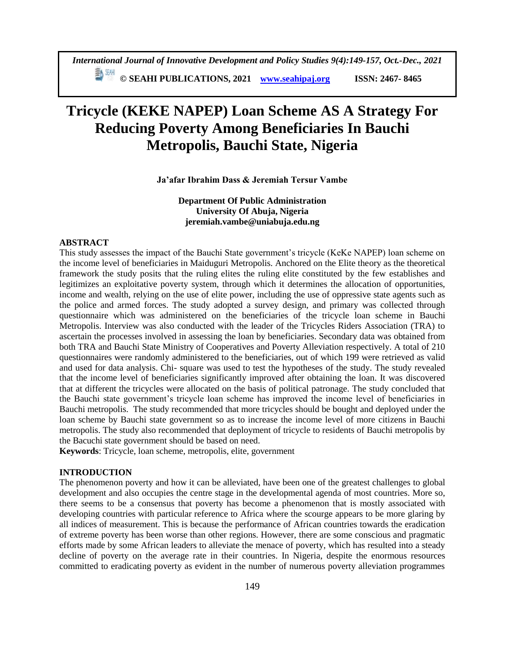# **Tricycle (KEKE NAPEP) Loan Scheme AS A Strategy For Reducing Poverty Among Beneficiaries In Bauchi Metropolis, Bauchi State, Nigeria**

#### **Ja'afar Ibrahim Dass & Jeremiah Tersur Vambe**

**Department Of Public Administration University Of Abuja, Nigeria jeremiah.vambe@uniabuja.edu.ng**

# **ABSTRACT**

This study assesses the impact of the Bauchi State government's tricycle (KeKe NAPEP) loan scheme on the income level of beneficiaries in Maiduguri Metropolis. Anchored on the Elite theory as the theoretical framework the study posits that the ruling elites the ruling elite constituted by the few establishes and legitimizes an exploitative poverty system, through which it determines the allocation of opportunities, income and wealth, relying on the use of elite power, including the use of oppressive state agents such as the police and armed forces. The study adopted a survey design, and primary was collected through questionnaire which was administered on the beneficiaries of the tricycle loan scheme in Bauchi Metropolis. Interview was also conducted with the leader of the Tricycles Riders Association (TRA) to ascertain the processes involved in assessing the loan by beneficiaries. Secondary data was obtained from both TRA and Bauchi State Ministry of Cooperatives and Poverty Alleviation respectively. A total of 210 questionnaires were randomly administered to the beneficiaries, out of which 199 were retrieved as valid and used for data analysis. Chi- square was used to test the hypotheses of the study. The study revealed that the income level of beneficiaries significantly improved after obtaining the loan. It was discovered that at different the tricycles were allocated on the basis of political patronage. The study concluded that the Bauchi state government's tricycle loan scheme has improved the income level of beneficiaries in Bauchi metropolis. The study recommended that more tricycles should be bought and deployed under the loan scheme by Bauchi state government so as to increase the income level of more citizens in Bauchi metropolis. The study also recommended that deployment of tricycle to residents of Bauchi metropolis by the Bacuchi state government should be based on need.

**Keywords**: Tricycle, loan scheme, metropolis, elite, government

# **INTRODUCTION**

The phenomenon poverty and how it can be alleviated, have been one of the greatest challenges to global development and also occupies the centre stage in the developmental agenda of most countries. More so, there seems to be a consensus that poverty has become a phenomenon that is mostly associated with developing countries with particular reference to Africa where the scourge appears to be more glaring by all indices of measurement. This is because the performance of African countries towards the eradication of extreme poverty has been worse than other regions. However, there are some conscious and pragmatic efforts made by some African leaders to alleviate the menace of poverty, which has resulted into a steady decline of poverty on the average rate in their countries. In Nigeria, despite the enormous resources committed to eradicating poverty as evident in the number of numerous poverty alleviation programmes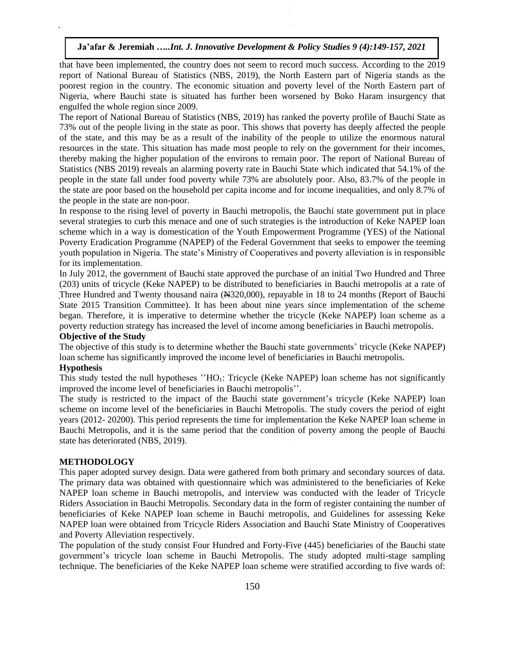that have been implemented, the country does not seem to record much success. According to the 2019 report of National Bureau of Statistics (NBS, 2019), the North Eastern part of Nigeria stands as the poorest region in the country. The economic situation and poverty level of the North Eastern part of Nigeria, where Bauchi state is situated has further been worsened by Boko Haram insurgency that engulfed the whole region since 2009.

The report of National Bureau of Statistics (NBS, 2019) has ranked the poverty profile of Bauchi State as 73% out of the people living in the state as poor. This shows that poverty has deeply affected the people of the state, and this may be as a result of the inability of the people to utilize the enormous natural resources in the state. This situation has made most people to rely on the government for their incomes, thereby making the higher population of the environs to remain poor. The report of National Bureau of Statistics (NBS 2019) reveals an alarming poverty rate in Bauchi State which indicated that 54.1% of the people in the state fall under food poverty while 73% are absolutely poor. Also, 83.7% of the people in the state are poor based on the household per capita income and for income inequalities, and only 8.7% of the people in the state are non-poor.

In response to the rising level of poverty in Bauchi metropolis, the Bauchi state government put in place several strategies to curb this menace and one of such strategies is the introduction of Keke NAPEP loan scheme which in a way is domestication of the Youth Empowerment Programme (YES) of the National Poverty Eradication Programme (NAPEP) of the Federal Government that seeks to empower the teeming youth population in Nigeria. The state's Ministry of Cooperatives and poverty alleviation is in responsible for its implementation.

In July 2012, the government of Bauchi state approved the purchase of an initial Two Hundred and Three (203) units of tricycle (Keke NAPEP) to be distributed to beneficiaries in Bauchi metropolis at a rate of Three Hundred and Twenty thousand naira (N320,000), repayable in 18 to 24 months (Report of Bauchi State 2015 Transition Committee). It has been about nine years since implementation of the scheme began. Therefore, it is imperative to determine whether the tricycle (Keke NAPEP) loan scheme as a poverty reduction strategy has increased the level of income among beneficiaries in Bauchi metropolis.

# **Objective of the Study**

The objective of this study is to determine whether the Bauchi state governments' tricycle (Keke NAPEP) loan scheme has significantly improved the income level of beneficiaries in Bauchi metropolis.

## **Hypothesis**

This study tested the null hypotheses " $HO_1$ : Tricycle (Keke NAPEP) loan scheme has not significantly improved the income level of beneficiaries in Bauchi metropolis''.

The study is restricted to the impact of the Bauchi state government's tricycle (Keke NAPEP) loan scheme on income level of the beneficiaries in Bauchi Metropolis. The study covers the period of eight years (2012- 20200). This period represents the time for implementation the Keke NAPEP loan scheme in Bauchi Metropolis, and it is the same period that the condition of poverty among the people of Bauchi state has deteriorated (NBS, 2019).

#### **METHODOLOGY**

This paper adopted survey design. Data were gathered from both primary and secondary sources of data. The primary data was obtained with questionnaire which was administered to the beneficiaries of Keke NAPEP loan scheme in Bauchi metropolis, and interview was conducted with the leader of Tricycle Riders Association in Bauchi Metropolis. Secondary data in the form of register containing the number of beneficiaries of Keke NAPEP loan scheme in Bauchi metropolis, and Guidelines for assessing Keke NAPEP loan were obtained from Tricycle Riders Association and Bauchi State Ministry of Cooperatives and Poverty Alleviation respectively.

The population of the study consist Four Hundred and Forty-Five (445) beneficiaries of the Bauchi state government's tricycle loan scheme in Bauchi Metropolis. The study adopted multi-stage sampling technique. The beneficiaries of the Keke NAPEP loan scheme were stratified according to five wards of: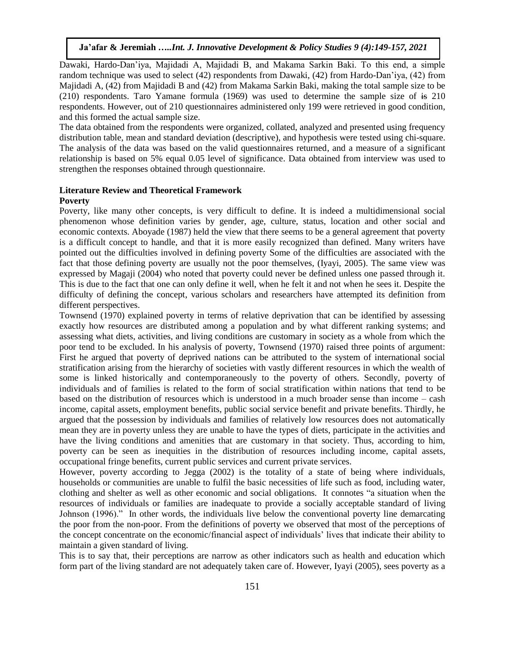Dawaki, Hardo-Dan'iya, Majidadi A, Majidadi B, and Makama Sarkin Baki. To this end, a simple random technique was used to select (42) respondents from Dawaki, (42) from Hardo-Dan'iya, (42) from Majidadi A, (42) from Majidadi B and (42) from Makama Sarkin Baki, making the total sample size to be (210) respondents. Taro Yamane formula (1969) was used to determine the sample size of is 210 respondents. However, out of 210 questionnaires administered only 199 were retrieved in good condition, and this formed the actual sample size.

The data obtained from the respondents were organized, collated, analyzed and presented using frequency distribution table, mean and standard deviation (descriptive), and hypothesis were tested using chi-square. The analysis of the data was based on the valid questionnaires returned, and a measure of a significant relationship is based on 5% equal 0.05 level of significance. Data obtained from interview was used to strengthen the responses obtained through questionnaire.

# **Literature Review and Theoretical Framework**

# **Poverty**

Poverty, like many other concepts, is very difficult to define. It is indeed a multidimensional social phenomenon whose definition varies by gender, age, culture, status, location and other social and economic contexts. Aboyade (1987) held the view that there seems to be a general agreement that poverty is a difficult concept to handle, and that it is more easily recognized than defined. Many writers have pointed out the difficulties involved in defining poverty Some of the difficulties are associated with the fact that those defining poverty are usually not the poor themselves, (Iyayi, 2005). The same view was expressed by Magaji (2004) who noted that poverty could never be defined unless one passed through it. This is due to the fact that one can only define it well, when he felt it and not when he sees it. Despite the difficulty of defining the concept, various scholars and researchers have attempted its definition from different perspectives.

Townsend (1970) explained poverty in terms of relative deprivation that can be identified by assessing exactly how resources are distributed among a population and by what different ranking systems; and assessing what diets, activities, and living conditions are customary in society as a whole from which the poor tend to be excluded. In his analysis of poverty, Townsend (1970) raised three points of argument: First he argued that poverty of deprived nations can be attributed to the system of international social stratification arising from the hierarchy of societies with vastly different resources in which the wealth of some is linked historically and contemporaneously to the poverty of others. Secondly, poverty of individuals and of families is related to the form of social stratification within nations that tend to be based on the distribution of resources which is understood in a much broader sense than income – cash income, capital assets, employment benefits, public social service benefit and private benefits. Thirdly, he argued that the possession by individuals and families of relatively low resources does not automatically mean they are in poverty unless they are unable to have the types of diets, participate in the activities and have the living conditions and amenities that are customary in that society. Thus, according to him, poverty can be seen as inequities in the distribution of resources including income, capital assets, occupational fringe benefits, current public services and current private services.

However, poverty according to Jegga (2002) is the totality of a state of being where individuals, households or communities are unable to fulfil the basic necessities of life such as food, including water, clothing and shelter as well as other economic and social obligations. It connotes "a situation when the resources of individuals or families are inadequate to provide a socially acceptable standard of living Johnson (1996)." In other words, the individuals live below the conventional poverty line demarcating the poor from the non-poor. From the definitions of poverty we observed that most of the perceptions of the concept concentrate on the economic/financial aspect of individuals' lives that indicate their ability to maintain a given standard of living.

This is to say that, their perceptions are narrow as other indicators such as health and education which form part of the living standard are not adequately taken care of. However, Iyayi (2005), sees poverty as a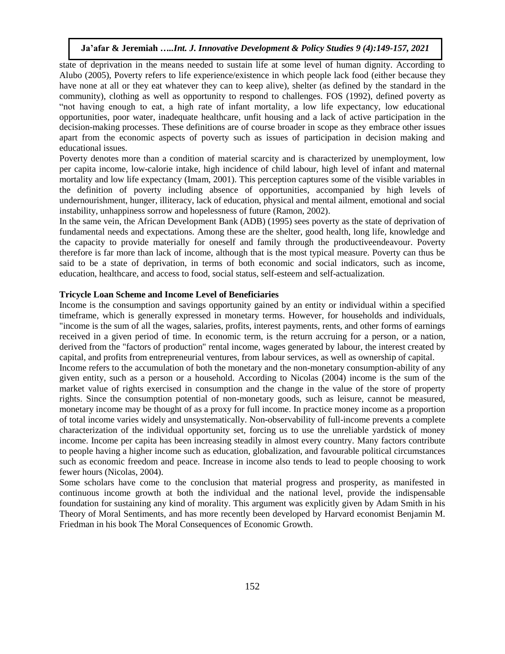state of deprivation in the means needed to sustain life at some level of human dignity. According to Alubo (2005), Poverty refers to life experience/existence in which people lack food (either because they have none at all or they eat whatever they can to keep alive), shelter (as defined by the standard in the community), clothing as well as opportunity to respond to challenges. FOS (1992), defined poverty as "not having enough to eat, a high rate of infant mortality, a low life expectancy, low educational opportunities, poor water, inadequate healthcare, unfit housing and a lack of active participation in the decision-making processes. These definitions are of course broader in scope as they embrace other issues apart from the economic aspects of poverty such as issues of participation in decision making and educational issues.

Poverty denotes more than a condition of material scarcity and is characterized by unemployment, low per capita income, low-calorie intake, high incidence of child labour, high level of infant and maternal mortality and low life expectancy (Imam, 2001). This perception captures some of the visible variables in the definition of poverty including absence of opportunities, accompanied by high levels of undernourishment, hunger, illiteracy, lack of education, physical and mental ailment, emotional and social instability, unhappiness sorrow and hopelessness of future (Ramon, 2002).

In the same vein, the African Development Bank (ADB) (1995) sees poverty as the state of deprivation of fundamental needs and expectations. Among these are the shelter, good health, long life, knowledge and the capacity to provide materially for oneself and family through the productiveendeavour. Poverty therefore is far more than lack of income, although that is the most typical measure. Poverty can thus be said to be a state of deprivation, in terms of both economic and social indicators, such as income, education, healthcare, and access to food, social status, self-esteem and self-actualization.

# **Tricycle Loan Scheme and Income Level of Beneficiaries**

Income is the consumption and savings opportunity gained by an entity or individual within a specified timeframe, which is generally expressed in monetary terms. However, for households and individuals, "income is the sum of all the wages, salaries, profits, interest payments, rents, and other forms of earnings received in a given period of time. In economic term, is the return accruing for a person, or a nation, derived from the "factors of production" rental income, wages generated by labour, the interest created by capital, and profits from entrepreneurial ventures, from labour services, as well as ownership of capital.

Income refers to the accumulation of both the monetary and the non-monetary consumption-ability of any given entity, such as a person or a household. According to Nicolas (2004) income is the sum of the market value of rights exercised in consumption and the change in the value of the store of property rights. Since the consumption potential of non-monetary goods, such as leisure, cannot be measured, monetary income may be thought of as a proxy for full income. In practice money income as a proportion of total income varies widely and unsystematically. Non-observability of full-income prevents a complete characterization of the individual opportunity set, forcing us to use the unreliable yardstick of money income. Income per capita has been increasing steadily in almost every country. Many factors contribute to people having a higher income such as education, globalization, and favourable political circumstances such as economic freedom and peace. Increase in income also tends to lead to people choosing to work fewer hours (Nicolas, 2004).

Some scholars have come to the conclusion that material progress and prosperity, as manifested in continuous income growth at both the individual and the national level, provide the indispensable foundation for sustaining any kind of morality. This argument was explicitly given by Adam Smith in his Theory of Moral Sentiments, and has more recently been developed by Harvard economist Benjamin M. Friedman in his book The Moral Consequences of Economic Growth.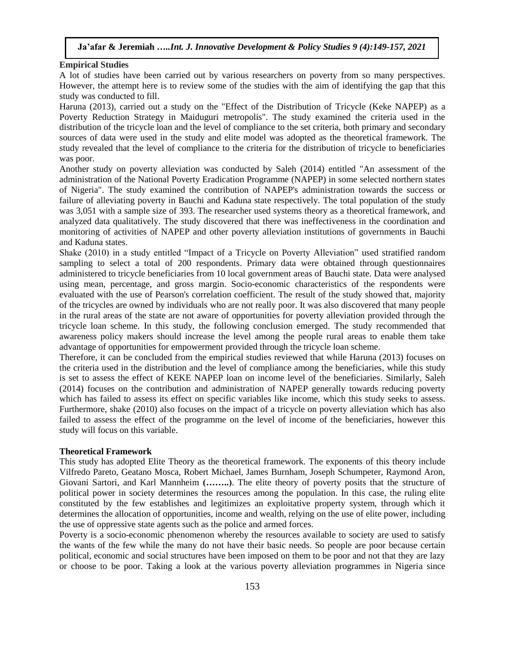#### **Empirical Studies**

A lot of studies have been carried out by various researchers on poverty from so many perspectives. However, the attempt here is to review some of the studies with the aim of identifying the gap that this study was conducted to fill.

Haruna (2013), carried out a study on the "Effect of the Distribution of Tricycle (Keke NAPEP) as a Poverty Reduction Strategy in Maiduguri metropolis". The study examined the criteria used in the distribution of the tricycle loan and the level of compliance to the set criteria, both primary and secondary sources of data were used in the study and elite model was adopted as the theoretical framework. The study revealed that the level of compliance to the criteria for the distribution of tricycle to beneficiaries was poor.

Another study on poverty alleviation was conducted by Saleh (2014) entitled "An assessment of the administration of the National Poverty Eradication Programme (NAPEP) in some selected northern states of Nigeria". The study examined the contribution of NAPEP's administration towards the success or failure of alleviating poverty in Bauchi and Kaduna state respectively. The total population of the study was 3,051 with a sample size of 393. The researcher used systems theory as a theoretical framework, and analyzed data qualitatively. The study discovered that there was ineffectiveness in the coordination and monitoring of activities of NAPEP and other poverty alleviation institutions of governments in Bauchi and Kaduna states.

Shake (2010) in a study entitled "Impact of a Tricycle on Poverty Alleviation" used stratified random sampling to select a total of 200 respondents. Primary data were obtained through questionnaires administered to tricycle beneficiaries from 10 local government areas of Bauchi state. Data were analysed using mean, percentage, and gross margin. Socio-economic characteristics of the respondents were evaluated with the use of Pearson's correlation coefficient. The result of the study showed that, majority of the tricycles are owned by individuals who are not really poor. It was also discovered that many people in the rural areas of the state are not aware of opportunities for poverty alleviation provided through the tricycle loan scheme. In this study, the following conclusion emerged. The study recommended that awareness policy makers should increase the level among the people rural areas to enable them take advantage of opportunities for empowerment provided through the tricycle loan scheme.

Therefore, it can be concluded from the empirical studies reviewed that while Haruna (2013) focuses on the criteria used in the distribution and the level of compliance among the beneficiaries, while this study is set to assess the effect of KEKE NAPEP loan on income level of the beneficiaries. Similarly, Saleh (2014) focuses on the contribution and administration of NAPEP generally towards reducing poverty which has failed to assess its effect on specific variables like income, which this study seeks to assess. Furthermore, shake (2010) also focuses on the impact of a tricycle on poverty alleviation which has also failed to assess the effect of the programme on the level of income of the beneficiaries, however this study will focus on this variable.

#### **Theoretical Framework**

This study has adopted Elite Theory as the theoretical framework. The exponents of this theory include Vilfredo Pareto, Geatano Mosca, Robert Michael, James Burnham, Joseph Schumpeter, Raymond Aron, Giovani Sartori, and Karl Mannheim **(……..)**. The elite theory of poverty posits that the structure of political power in society determines the resources among the population. In this case, the ruling elite constituted by the few establishes and legitimizes an exploitative property system, through which it determines the allocation of opportunities, income and wealth, relying on the use of elite power, including the use of oppressive state agents such as the police and armed forces.

Poverty is a socio-economic phenomenon whereby the resources available to society are used to satisfy the wants of the few while the many do not have their basic needs. So people are poor because certain political, economic and social structures have been imposed on them to be poor and not that they are lazy or choose to be poor. Taking a look at the various poverty alleviation programmes in Nigeria since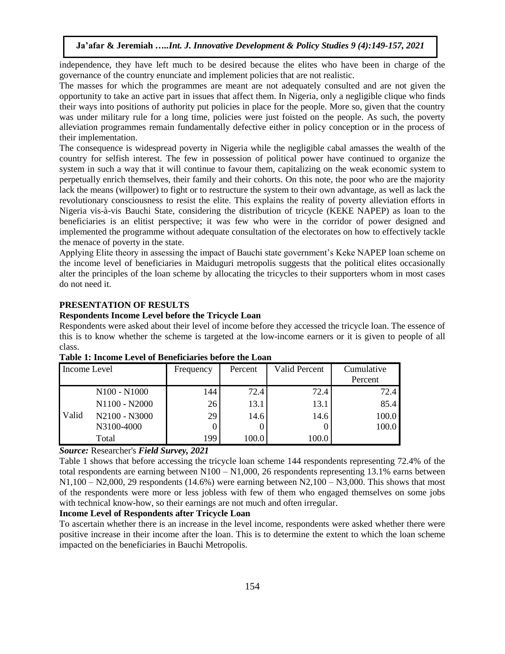independence, they have left much to be desired because the elites who have been in charge of the governance of the country enunciate and implement policies that are not realistic.

The masses for which the programmes are meant are not adequately consulted and are not given the opportunity to take an active part in issues that affect them. In Nigeria, only a negligible clique who finds their ways into positions of authority put policies in place for the people. More so, given that the country was under military rule for a long time, policies were just foisted on the people. As such, the poverty alleviation programmes remain fundamentally defective either in policy conception or in the process of their implementation.

The consequence is widespread poverty in Nigeria while the negligible cabal amasses the wealth of the country for selfish interest. The few in possession of political power have continued to organize the system in such a way that it will continue to favour them, capitalizing on the weak economic system to perpetually enrich themselves, their family and their cohorts. On this note, the poor who are the majority lack the means (willpower) to fight or to restructure the system to their own advantage, as well as lack the revolutionary consciousness to resist the elite. This explains the reality of poverty alleviation efforts in Nigeria vis-à-vis Bauchi State, considering the distribution of tricycle (KEKE NAPEP) as loan to the beneficiaries is an elitist perspective; it was few who were in the corridor of power designed and implemented the programme without adequate consultation of the electorates on how to effectively tackle the menace of poverty in the state.

Applying Elite theory in assessing the impact of Bauchi state government's Keke NAPEP loan scheme on the income level of beneficiaries in Maiduguri metropolis suggests that the political elites occasionally alter the principles of the loan scheme by allocating the tricycles to their supporters whom in most cases do not need it.

# **PRESENTATION OF RESULTS**

#### **Respondents Income Level before the Tricycle Loan**

Respondents were asked about their level of income before they accessed the tricycle loan. The essence of this is to know whether the scheme is targeted at the low-income earners or it is given to people of all class.

| Income Level |                                      | Frequency | Percent | <b>Valid Percent</b> | Cumulative |
|--------------|--------------------------------------|-----------|---------|----------------------|------------|
|              |                                      |           |         |                      | Percent    |
| Valid        | N <sub>100</sub> - N <sub>1000</sub> | 144       | 72.4    | 72.4                 | 72.4       |
|              | N1100 - N2000                        | 26        | 13.1    | 13.1                 | 85.4       |
|              | N2100 - N3000                        | 29        | 14.6    | 14.6                 | 100.0      |
|              | N3100-4000                           |           |         |                      | 100.0      |
|              | Total                                | 199       | 100.0   | 100.0                |            |

#### **Table 1: Income Level of Beneficiaries before the Loan**

# *Source:* Researcher's *Field Survey, 2021*

Table 1 shows that before accessing the tricycle loan scheme 144 respondents representing 72.4% of the total respondents are earning between N100 – N1,000, 26 respondents representing 13.1% earns between  $N1,100 - N2,000$ , 29 respondents (14.6%) were earning between  $N2,100 - N3,000$ . This shows that most of the respondents were more or less jobless with few of them who engaged themselves on some jobs with technical know-how, so their earnings are not much and often irregular.

# **Income Level of Respondents after Tricycle Loan**

To ascertain whether there is an increase in the level income, respondents were asked whether there were positive increase in their income after the loan. This is to determine the extent to which the loan scheme impacted on the beneficiaries in Bauchi Metropolis.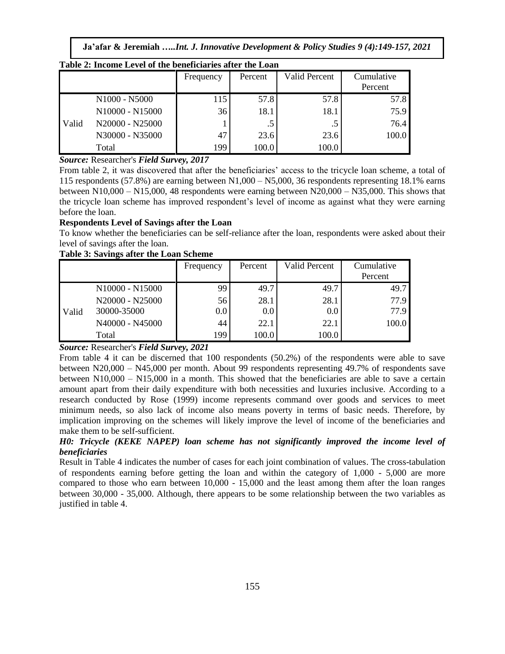| Table 2: Income Level of the beneficiaries after the Loan |                 |           |         |                      |                       |  |  |
|-----------------------------------------------------------|-----------------|-----------|---------|----------------------|-----------------------|--|--|
|                                                           |                 | Frequency | Percent | <b>Valid Percent</b> | Cumulative<br>Percent |  |  |
|                                                           | N1000 - N5000   | 115       | 57.8    | 57.8                 | 57.8                  |  |  |
|                                                           | N10000 - N15000 | 36        | 18.1    | 18.1                 | 75.9                  |  |  |
| Valid                                                     | N20000 - N25000 |           | . J     | .5                   | 76.4                  |  |  |
|                                                           | N30000 - N35000 | 47        | 23.6    | 23.6                 | 100.0                 |  |  |
|                                                           | Total           | 199       | 100.0   | 100.0                |                       |  |  |

#### *Source:* Researcher's *Field Survey, 2017*

From table 2, it was discovered that after the beneficiaries' access to the tricycle loan scheme, a total of 115 respondents (57.8%) are earning between N1,000 – N5,000, 36 respondents representing 18.1% earns between N10,000 – N15,000, 48 respondents were earning between  $N20,000 - N35,000$ . This shows that the tricycle loan scheme has improved respondent's level of income as against what they were earning before the loan.

# **Respondents Level of Savings after the Loan**

To know whether the beneficiaries can be self-reliance after the loan, respondents were asked about their level of savings after the loan.

#### **Table 3: Savings after the Loan Scheme**

|       |                 | Frequency | Percent | Valid Percent | Cumulative<br>Percent |
|-------|-----------------|-----------|---------|---------------|-----------------------|
| Valid | N10000 - N15000 | 99        | 49.7    | 49.7          | 49.7                  |
|       | N20000 - N25000 | 56        | 28.1    | 28.1          | 77.9                  |
|       | 30000-35000     | 0.0       | 0.0     | 0.0           | 77.9                  |
|       | N40000 - N45000 | 44        | 22.1    | 22.1          | 100.0                 |
|       | Total           | 199       | 100.0   | 100.0         |                       |

## *Source:* Researcher's *Field Survey, 2021*

From table 4 it can be discerned that 100 respondents (50.2%) of the respondents were able to save between N20,000 – N45,000 per month. About 99 respondents representing 49.7% of respondents save between N10,000 – N15,000 in a month. This showed that the beneficiaries are able to save a certain amount apart from their daily expenditure with both necessities and luxuries inclusive. According to a research conducted by Rose (1999) income represents command over goods and services to meet minimum needs, so also lack of income also means poverty in terms of basic needs. Therefore, by implication improving on the schemes will likely improve the level of income of the beneficiaries and make them to be self-sufficient.

# *H0: Tricycle (KEKE NAPEP) loan scheme has not significantly improved the income level of beneficiaries*

Result in Table 4 indicates the number of cases for each joint combination of values. The cross-tabulation of respondents earning before getting the loan and within the category of 1,000 - 5,000 are more compared to those who earn between 10,000 - 15,000 and the least among them after the loan ranges between 30,000 - 35,000. Although, there appears to be some relationship between the two variables as justified in table 4.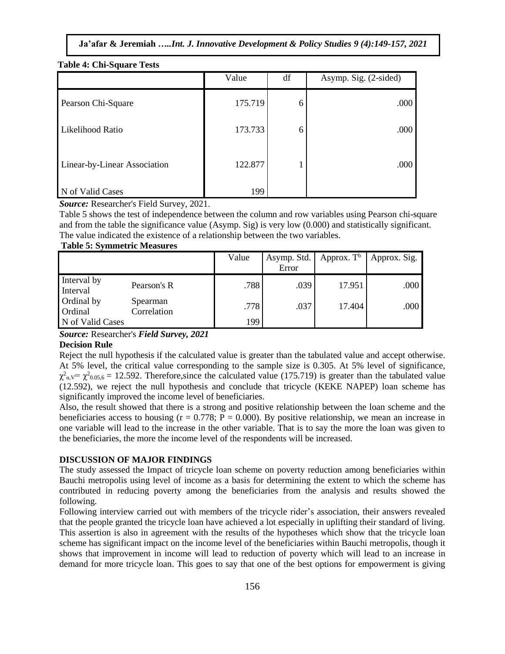|                              | Value   | df | Asymp. Sig. (2-sided) |
|------------------------------|---------|----|-----------------------|
| Pearson Chi-Square           | 175.719 | 6  | .000                  |
| Likelihood Ratio             | 173.733 | 6  | .000                  |
| Linear-by-Linear Association | 122.877 |    | .000                  |
| N of Valid Cases             | 199     |    |                       |

#### **Table 4: Chi-Square Tests**

*Source:* Researcher's Field Survey, 2021.

Table 5 shows the test of independence between the column and row variables using Pearson chi-square and from the table the significance value (Asymp. Sig) is very low (0.000) and statistically significant. The value indicated the existence of a relationship between the two variables.

#### **Table 5: Symmetric Measures**

|                         |                         | Value | Asymp. Std. | Approx. $T^b$ | Approx. Sig. |
|-------------------------|-------------------------|-------|-------------|---------------|--------------|
|                         |                         |       | Error       |               |              |
| Interval by<br>Interval | Pearson's R             | .788  | .039        | 17.951        | .000         |
| Ordinal by<br>Ordinal   | Spearman<br>Correlation | .778  | .037        | 17.404        | .000         |
| N of Valid Cases        |                         | 199   |             |               |              |

*Source:* Researcher's *Field Survey, 2021*

# **Decision Rule**

Reject the null hypothesis if the calculated value is greater than the tabulated value and accept otherwise. At 5% level, the critical value corresponding to the sample size is 0.305. At 5% level of significance,  $\chi^2_{\alpha,\rm V} = \chi^2_{0.05,6} = 12.592$ . Therefore, since the calculated value (175.719) is greater than the tabulated value (12.592), we reject the null hypothesis and conclude that tricycle (KEKE NAPEP) loan scheme has significantly improved the income level of beneficiaries.

Also, the result showed that there is a strong and positive relationship between the loan scheme and the beneficiaries access to housing  $(r = 0.778; P = 0.000)$ . By positive relationship, we mean an increase in one variable will lead to the increase in the other variable. That is to say the more the loan was given to the beneficiaries, the more the income level of the respondents will be increased.

# **DISCUSSION OF MAJOR FINDINGS**

The study assessed the Impact of tricycle loan scheme on poverty reduction among beneficiaries within Bauchi metropolis using level of income as a basis for determining the extent to which the scheme has contributed in reducing poverty among the beneficiaries from the analysis and results showed the following.

Following interview carried out with members of the tricycle rider's association, their answers revealed that the people granted the tricycle loan have achieved a lot especially in uplifting their standard of living. This assertion is also in agreement with the results of the hypotheses which show that the tricycle loan scheme has significant impact on the income level of the beneficiaries within Bauchi metropolis, though it shows that improvement in income will lead to reduction of poverty which will lead to an increase in demand for more tricycle loan. This goes to say that one of the best options for empowerment is giving